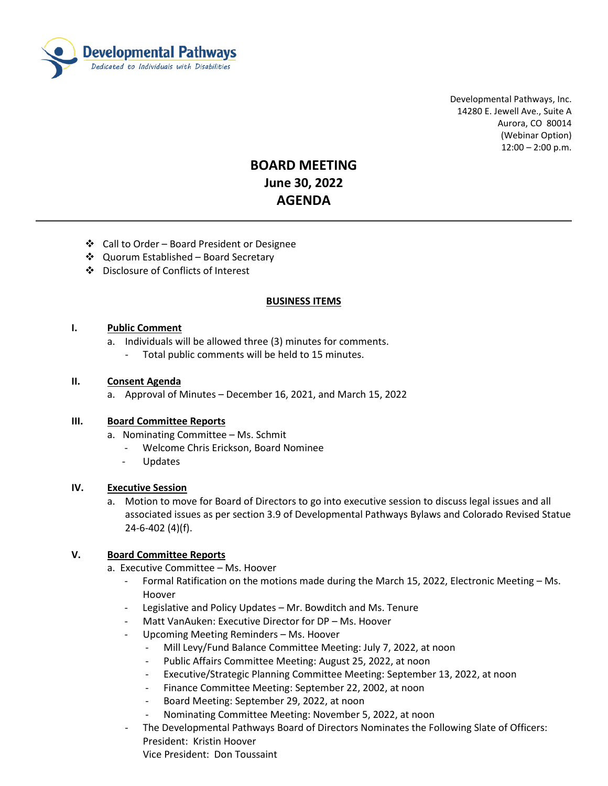

 Developmental Pathways, Inc. 14280 E. Jewell Ave., Suite A Aurora, CO 80014 (Webinar Option) 12:00 – 2:00 p.m.

# **BOARD MEETING June 30, 2022 AGENDA**

- ❖ Call to Order Board President or Designee
- ❖ Quorum Established Board Secretary
- Disclosure of Conflicts of Interest

## **BUSINESS ITEMS**

## **I. Public Comment**

- a. Individuals will be allowed three (3) minutes for comments.
	- Total public comments will be held to 15 minutes.

#### **II. Consent Agenda**

a. Approval of Minutes – December 16, 2021, and March 15, 2022

#### **III. Board Committee Reports**

- a. Nominating Committee Ms. Schmit
	- Welcome Chris Erickson, Board Nominee
	- **Updates**

#### **IV. Executive Session**

a. Motion to move for Board of Directors to go into executive session to discuss legal issues and all associated issues as per section 3.9 of Developmental Pathways Bylaws and Colorado Revised Statue 24-6-402 (4)(f).

# **V. Board Committee Reports**

- a. Executive Committee Ms. Hoover
	- Formal Ratification on the motions made during the March 15, 2022, Electronic Meeting Ms. Hoover
	- Legislative and Policy Updates Mr. Bowditch and Ms. Tenure
	- Matt VanAuken: Executive Director for DP Ms. Hoover
	- Upcoming Meeting Reminders Ms. Hoover
		- Mill Levy/Fund Balance Committee Meeting: July 7, 2022, at noon
		- Public Affairs Committee Meeting: August 25, 2022, at noon
		- Executive/Strategic Planning Committee Meeting: September 13, 2022, at noon
		- Finance Committee Meeting: September 22, 2002, at noon
		- Board Meeting: September 29, 2022, at noon
		- Nominating Committee Meeting: November 5, 2022, at noon
	- The Developmental Pathways Board of Directors Nominates the Following Slate of Officers: President: Kristin Hoover

Vice President: Don Toussaint